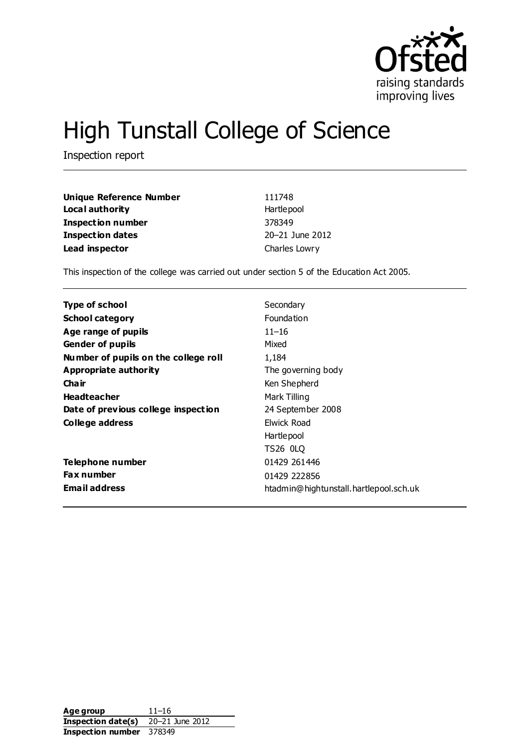

# High Tunstall College of Science

Inspection report

| <b>Unique Reference Number</b> | 111748          |
|--------------------------------|-----------------|
| Local authority                | Hartlepool      |
| Inspection number              | 378349          |
| <b>Inspection dates</b>        | 20-21 June 2012 |
| Lead inspector                 | Charles Lowry   |

This inspection of the college was carried out under section 5 of the Education Act 2005.

| <b>Type of school</b>                | Secondary                              |
|--------------------------------------|----------------------------------------|
| <b>School category</b>               | <b>Foundation</b>                      |
| Age range of pupils                  | $11 - 16$                              |
| <b>Gender of pupils</b>              | Mixed                                  |
| Number of pupils on the college roll | 1,184                                  |
| Appropriate authority                | The governing body                     |
| Cha ir                               | Ken Shepherd                           |
| <b>Headteacher</b>                   | Mark Tilling                           |
| Date of previous college inspection  | 24 September 2008                      |
| College address                      | <b>Elwick Road</b>                     |
|                                      | Hartlepool                             |
|                                      | TS26 0LQ                               |
| Telephone number                     | 01429 261446                           |
| <b>Fax number</b>                    | 01429 222856                           |
| <b>Email address</b>                 | htadmin@hightunstall.hartlepool.sch.uk |

| Age group                       | $11 - 16$       |
|---------------------------------|-----------------|
| Inspection date(s)              | 20-21 June 2012 |
| <b>Inspection number</b> 378349 |                 |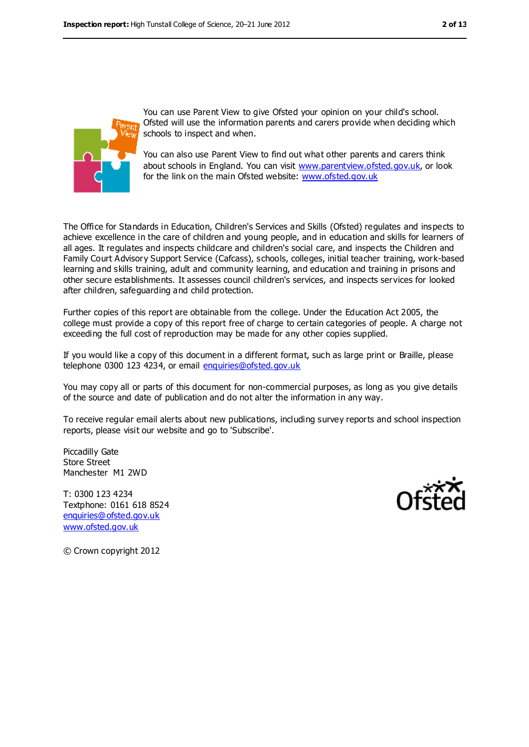

You can use Parent View to give Ofsted your opinion on your child's school. Ofsted will use the information parents and carers provide when deciding which schools to inspect and when.

You can also use Parent View to find out what other parents and carers think about schools in England. You can visit [www.parentview.ofsted.gov.uk,](../../../../../../clowry/AppData/Local/jhewitt/AppData/Local/Microsoft/Windows/Temporary%20Internet%20Files/OLKFCC5/www.parentview.ofsted.gov.uk) or look for the link on the main Ofsted website: [www.ofsted.gov.uk](../../../../../../clowry/AppData/Local/jhewitt/AppData/Local/Microsoft/Windows/Temporary%20Internet%20Files/OLKFCC5/www.ofsted.gov.uk)

The Office for Standards in Education, Children's Services and Skills (Ofsted) regulates and inspects to achieve excellence in the care of children and young people, and in education and skills for learners of all ages. It regulates and inspects childcare and children's social care, and inspects the Children and Family Court Advisory Support Service (Cafcass), schools, colleges, initial teacher training, work-based learning and skills training, adult and community learning, and education and training in prisons and other secure establishments. It assesses council children's services, and inspects services for looked after children, safeguarding and child protection.

Further copies of this report are obtainable from the college. Under the Education Act 2005, the college must provide a copy of this report free of charge to certain categories of people. A charge not exceeding the full cost of reproduction may be made for any other copies supplied.

If you would like a copy of this document in a different format, such as large print or Braille, please telephone 0300 123 4234, or email [enquiries@ofsted.gov.uk](mailto:enquiries@ofsted.gov.uk)

You may copy all or parts of this document for non-commercial purposes, as long as you give details of the source and date of publication and do not alter the information in any way.

To receive regular email alerts about new publications, including survey reports and school inspection reports, please visit our website and go to 'Subscribe'.

Piccadilly Gate Store Street Manchester M1 2WD

T: 0300 123 4234 Textphone: 0161 618 8524 [enquiries@ofsted.gov.uk](mailto:enquiries@ofsted.gov.uk) [www.ofsted.gov.uk](http://www.ofsted.gov.uk/)



© Crown copyright 2012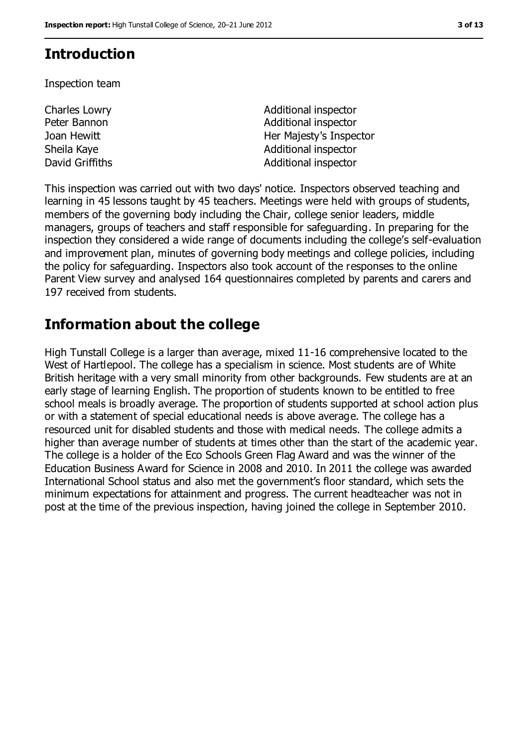### **Introduction**

Inspection team

Charles Lowry Peter Bannon

Additional inspector Additional inspector Joan Hewitt **Her Majesty's Inspector** Sheila Kaye **Additional inspector** Additional inspector David Griffiths **Additional inspector** 

This inspection was carried out with two days' notice. Inspectors observed teaching and learning in 45 lessons taught by 45 teachers. Meetings were held with groups of students, members of the governing body including the Chair, college senior leaders, middle managers, groups of teachers and staff responsible for safeguarding. In preparing for the inspection they considered a wide range of documents including the college's self-evaluation and improvement plan, minutes of governing body meetings and college policies, including the policy for safeguarding. Inspectors also took account of the responses to the online Parent View survey and analysed 164 questionnaires completed by parents and carers and 197 received from students.

## **Information about the college**

High Tunstall College is a larger than average, mixed 11-16 comprehensive located to the West of Hartlepool. The college has a specialism in science. Most students are of White British heritage with a very small minority from other backgrounds. Few students are at an early stage of learning English. The proportion of students known to be entitled to free school meals is broadly average. The proportion of students supported at school action plus or with a statement of special educational needs is above average. The college has a resourced unit for disabled students and those with medical needs. The college admits a higher than average number of students at times other than the start of the academic year. The college is a holder of the Eco Schools Green Flag Award and was the winner of the Education Business Award for Science in 2008 and 2010. In 2011 the college was awarded International School status and also met the government's floor standard, which sets the minimum expectations for attainment and progress. The current headteacher was not in post at the time of the previous inspection, having joined the college in September 2010.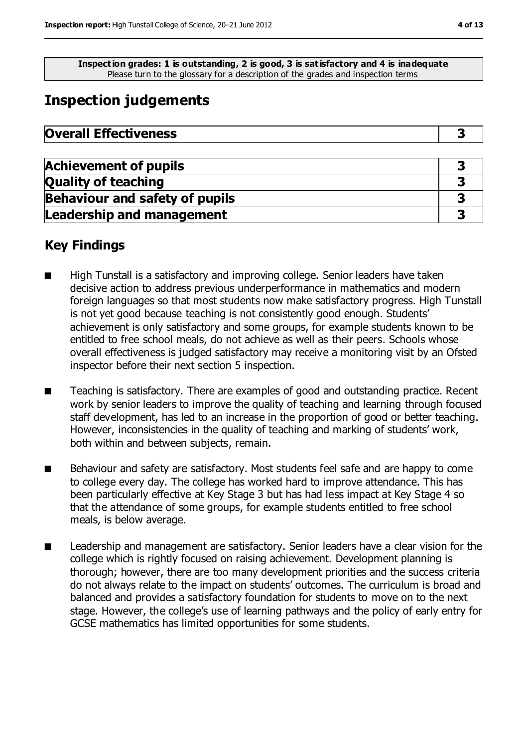**Inspection grades: 1 is outstanding, 2 is good, 3 is satisfactory and 4 is inadequate** Please turn to the glossary for a description of the grades and inspection terms

### **Inspection judgements**

| <b>Achievement of pupils</b>          |  |
|---------------------------------------|--|
| <b>Quality of teaching</b>            |  |
| <b>Behaviour and safety of pupils</b> |  |
| <b>Leadership and management</b>      |  |

### **Key Findings**

- High Tunstall is a satisfactory and improving college. Senior leaders have taken decisive action to address previous underperformance in mathematics and modern foreign languages so that most students now make satisfactory progress. High Tunstall is not yet good because teaching is not consistently good enough. Students' achievement is only satisfactory and some groups, for example students known to be entitled to free school meals, do not achieve as well as their peers. Schools whose overall effectiveness is judged satisfactory may receive a monitoring visit by an Ofsted inspector before their next section 5 inspection.
- Teaching is satisfactory. There are examples of good and outstanding practice. Recent work by senior leaders to improve the quality of teaching and learning through focused staff development, has led to an increase in the proportion of good or better teaching. However, inconsistencies in the quality of teaching and marking of students' work, both within and between subjects, remain.
- Behaviour and safety are satisfactory. Most students feel safe and are happy to come to college every day. The college has worked hard to improve attendance. This has been particularly effective at Key Stage 3 but has had less impact at Key Stage 4 so that the attendance of some groups, for example students entitled to free school meals, is below average.
- Leadership and management are satisfactory. Senior leaders have a clear vision for the college which is rightly focused on raising achievement. Development planning is thorough; however, there are too many development priorities and the success criteria do not always relate to the impact on students' outcomes. The curriculum is broad and balanced and provides a satisfactory foundation for students to move on to the next stage. However, the college's use of learning pathways and the policy of early entry for GCSE mathematics has limited opportunities for some students.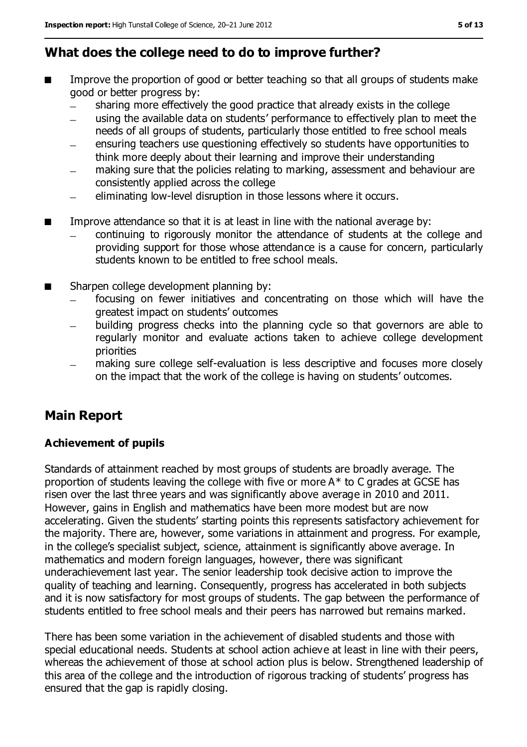### **What does the college need to do to improve further?**

- Improve the proportion of good or better teaching so that all groups of students make good or better progress by:
	- sharing more effectively the good practice that already exists in the college  $\frac{1}{2}$
	- using the available data on students' performance to effectively plan to meet the needs of all groups of students, particularly those entitled to free school meals
	- ensuring teachers use questioning effectively so students have opportunities to think more deeply about their learning and improve their understanding
	- making sure that the policies relating to marking, assessment and behaviour are  $\equiv$ consistently applied across the college
	- eliminating low-level disruption in those lessons where it occurs.
- Improve attendance so that it is at least in line with the national average by:
	- continuing to rigorously monitor the attendance of students at the college and providing support for those whose attendance is a cause for concern, particularly students known to be entitled to free school meals.
- Sharpen college development planning by:
	- focusing on fewer initiatives and concentrating on those which will have the  $\equiv$ greatest impact on students' outcomes
	- building progress checks into the planning cycle so that governors are able to regularly monitor and evaluate actions taken to achieve college development priorities
	- making sure college self-evaluation is less descriptive and focuses more closely on the impact that the work of the college is having on students' outcomes.

### **Main Report**

#### **Achievement of pupils**

Standards of attainment reached by most groups of students are broadly average. The proportion of students leaving the college with five or more A\* to C grades at GCSE has risen over the last three years and was significantly above average in 2010 and 2011. However, gains in English and mathematics have been more modest but are now accelerating. Given the students' starting points this represents satisfactory achievement for the majority. There are, however, some variations in attainment and progress. For example, in the college's specialist subject, science, attainment is significantly above average. In mathematics and modern foreign languages, however, there was significant underachievement last year. The senior leadership took decisive action to improve the quality of teaching and learning. Consequently, progress has accelerated in both subjects and it is now satisfactory for most groups of students. The gap between the performance of students entitled to free school meals and their peers has narrowed but remains marked.

There has been some variation in the achievement of disabled students and those with special educational needs. Students at school action achieve at least in line with their peers, whereas the achievement of those at school action plus is below. Strengthened leadership of this area of the college and the introduction of rigorous tracking of students' progress has ensured that the gap is rapidly closing.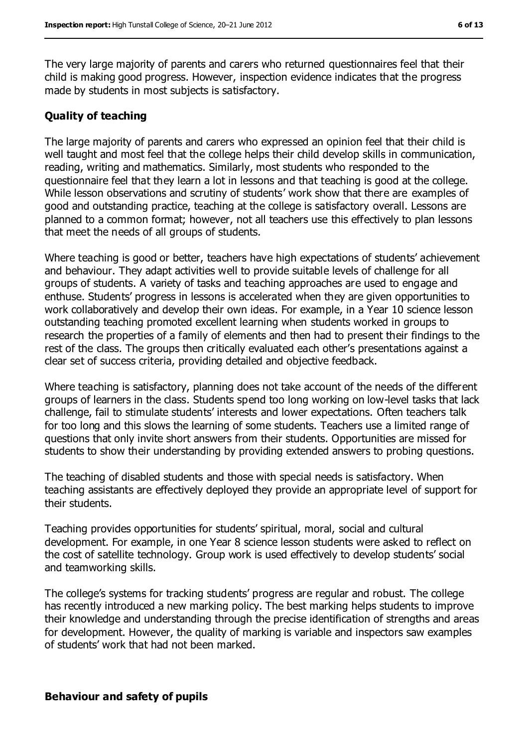The very large majority of parents and carers who returned questionnaires feel that their child is making good progress. However, inspection evidence indicates that the progress made by students in most subjects is satisfactory.

#### **Quality of teaching**

The large majority of parents and carers who expressed an opinion feel that their child is well taught and most feel that the college helps their child develop skills in communication, reading, writing and mathematics. Similarly, most students who responded to the questionnaire feel that they learn a lot in lessons and that teaching is good at the college. While lesson observations and scrutiny of students' work show that there are examples of good and outstanding practice, teaching at the college is satisfactory overall. Lessons are planned to a common format; however, not all teachers use this effectively to plan lessons that meet the needs of all groups of students.

Where teaching is good or better, teachers have high expectations of students' achievement and behaviour. They adapt activities well to provide suitable levels of challenge for all groups of students. A variety of tasks and teaching approaches are used to engage and enthuse. Students' progress in lessons is accelerated when they are given opportunities to work collaboratively and develop their own ideas. For example, in a Year 10 science lesson outstanding teaching promoted excellent learning when students worked in groups to research the properties of a family of elements and then had to present their findings to the rest of the class. The groups then critically evaluated each other's presentations against a clear set of success criteria, providing detailed and objective feedback.

Where teaching is satisfactory, planning does not take account of the needs of the different groups of learners in the class. Students spend too long working on low-level tasks that lack challenge, fail to stimulate students' interests and lower expectations. Often teachers talk for too long and this slows the learning of some students. Teachers use a limited range of questions that only invite short answers from their students. Opportunities are missed for students to show their understanding by providing extended answers to probing questions.

The teaching of disabled students and those with special needs is satisfactory. When teaching assistants are effectively deployed they provide an appropriate level of support for their students.

Teaching provides opportunities for students' spiritual, moral, social and cultural development. For example, in one Year 8 science lesson students were asked to reflect on the cost of satellite technology. Group work is used effectively to develop students' social and teamworking skills.

The college's systems for tracking students' progress are regular and robust. The college has recently introduced a new marking policy. The best marking helps students to improve their knowledge and understanding through the precise identification of strengths and areas for development. However, the quality of marking is variable and inspectors saw examples of students' work that had not been marked.

#### **Behaviour and safety of pupils**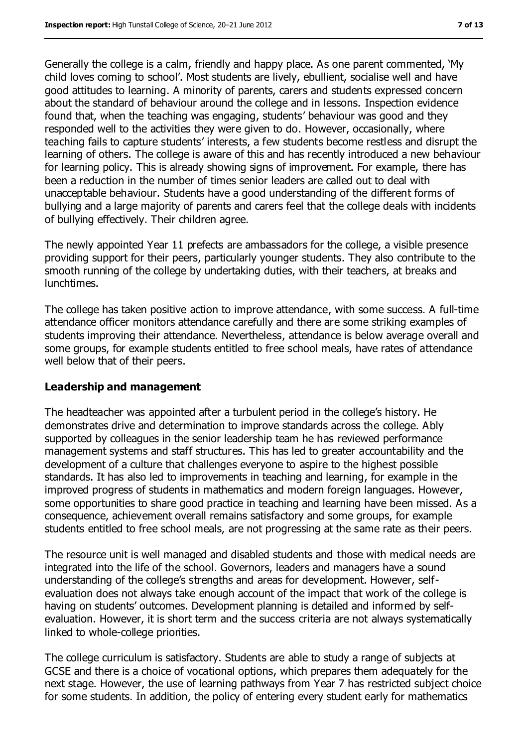Generally the college is a calm, friendly and happy place. As one parent commented, 'My child loves coming to school'. Most students are lively, ebullient, socialise well and have good attitudes to learning. A minority of parents, carers and students expressed concern about the standard of behaviour around the college and in lessons. Inspection evidence found that, when the teaching was engaging, students' behaviour was good and they responded well to the activities they were given to do. However, occasionally, where teaching fails to capture students' interests, a few students become restless and disrupt the learning of others. The college is aware of this and has recently introduced a new behaviour for learning policy. This is already showing signs of improvement. For example, there has been a reduction in the number of times senior leaders are called out to deal with unacceptable behaviour. Students have a good understanding of the different forms of bullying and a large majority of parents and carers feel that the college deals with incidents of bullying effectively. Their children agree.

The newly appointed Year 11 prefects are ambassadors for the college, a visible presence providing support for their peers, particularly younger students. They also contribute to the smooth running of the college by undertaking duties, with their teachers, at breaks and lunchtimes.

The college has taken positive action to improve attendance, with some success. A full-time attendance officer monitors attendance carefully and there are some striking examples of students improving their attendance. Nevertheless, attendance is below average overall and some groups, for example students entitled to free school meals, have rates of attendance well below that of their peers.

#### **Leadership and management**

The headteacher was appointed after a turbulent period in the college's history. He demonstrates drive and determination to improve standards across the college. Ably supported by colleagues in the senior leadership team he has reviewed performance management systems and staff structures. This has led to greater accountability and the development of a culture that challenges everyone to aspire to the highest possible standards. It has also led to improvements in teaching and learning, for example in the improved progress of students in mathematics and modern foreign languages. However, some opportunities to share good practice in teaching and learning have been missed. As a consequence, achievement overall remains satisfactory and some groups, for example students entitled to free school meals, are not progressing at the same rate as their peers.

The resource unit is well managed and disabled students and those with medical needs are integrated into the life of the school. Governors, leaders and managers have a sound understanding of the college's strengths and areas for development. However, selfevaluation does not always take enough account of the impact that work of the college is having on students' outcomes. Development planning is detailed and informed by selfevaluation. However, it is short term and the success criteria are not always systematically linked to whole-college priorities.

The college curriculum is satisfactory. Students are able to study a range of subjects at GCSE and there is a choice of vocational options, which prepares them adequately for the next stage. However, the use of learning pathways from Year 7 has restricted subject choice for some students. In addition, the policy of entering every student early for mathematics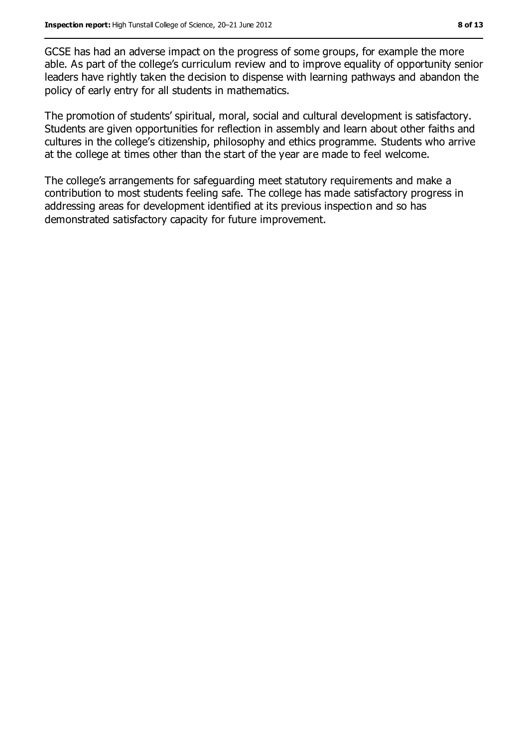GCSE has had an adverse impact on the progress of some groups, for example the more able. As part of the college's curriculum review and to improve equality of opportunity senior leaders have rightly taken the decision to dispense with learning pathways and abandon the policy of early entry for all students in mathematics.

The promotion of students' spiritual, moral, social and cultural development is satisfactory. Students are given opportunities for reflection in assembly and learn about other faiths and cultures in the college's citizenship, philosophy and ethics programme. Students who arrive at the college at times other than the start of the year are made to feel welcome.

The college's arrangements for safeguarding meet statutory requirements and make a contribution to most students feeling safe. The college has made satisfactory progress in addressing areas for development identified at its previous inspection and so has demonstrated satisfactory capacity for future improvement.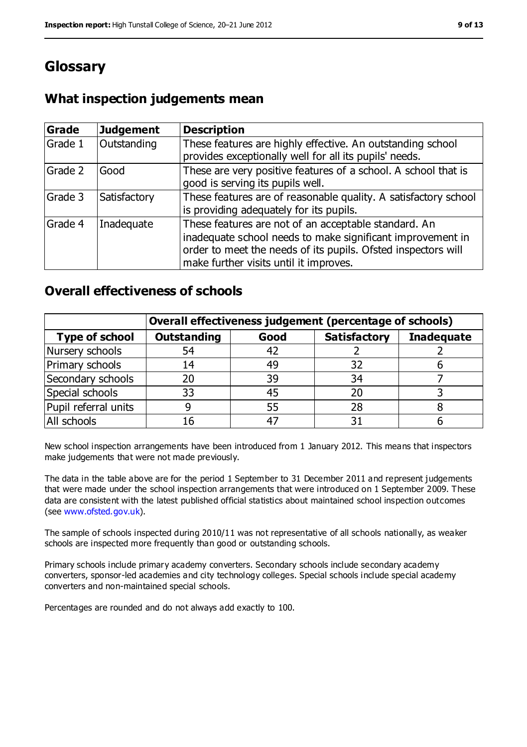### **Glossary**

### **What inspection judgements mean**

| <b>Grade</b> | Judgement    | <b>Description</b>                                                                                                                                                                                                            |
|--------------|--------------|-------------------------------------------------------------------------------------------------------------------------------------------------------------------------------------------------------------------------------|
| Grade 1      | Outstanding  | These features are highly effective. An outstanding school<br>provides exceptionally well for all its pupils' needs.                                                                                                          |
| Grade 2      | Good         | These are very positive features of a school. A school that is<br>good is serving its pupils well.                                                                                                                            |
| Grade 3      | Satisfactory | These features are of reasonable quality. A satisfactory school<br>is providing adequately for its pupils.                                                                                                                    |
| Grade 4      | Inadequate   | These features are not of an acceptable standard. An<br>inadequate school needs to make significant improvement in<br>order to meet the needs of its pupils. Ofsted inspectors will<br>make further visits until it improves. |

### **Overall effectiveness of schools**

|                       | Overall effectiveness judgement (percentage of schools) |      |                     |                   |
|-----------------------|---------------------------------------------------------|------|---------------------|-------------------|
| <b>Type of school</b> | <b>Outstanding</b>                                      | Good | <b>Satisfactory</b> | <b>Inadequate</b> |
| Nursery schools       | 54                                                      | 42   |                     |                   |
| Primary schools       | 14                                                      | 49   | 32                  |                   |
| Secondary schools     | 20                                                      | 39   | 34                  |                   |
| Special schools       | 33                                                      | 45   | 20                  |                   |
| Pupil referral units  |                                                         | 55   | 28                  |                   |
| All schools           | 16                                                      | $-4$ |                     |                   |

New school inspection arrangements have been introduced from 1 January 2012. This means that inspectors make judgements that were not made previously.

The data in the table above are for the period 1 September to 31 December 2011 and represent judgements that were made under the school inspection arrangements that were introduced on 1 September 2009. These data are consistent with the latest published official statistics about maintained school inspection outcomes (see [www.ofsted.gov.uk\)](../../../../../../clowry/AppData/Local/jhewitt/AppData/Local/Microsoft/Windows/Temporary%20Internet%20Files/OLKFCC5/www.ofsted.gov.uk).

The sample of schools inspected during 2010/11 was not representative of all schools nationally, as weaker schools are inspected more frequently than good or outstanding schools.

Primary schools include primary academy converters. Secondary schools include secondary academy converters, sponsor-led academies and city technology colleges. Special schools include special academy converters and non-maintained special schools.

Percentages are rounded and do not always add exactly to 100.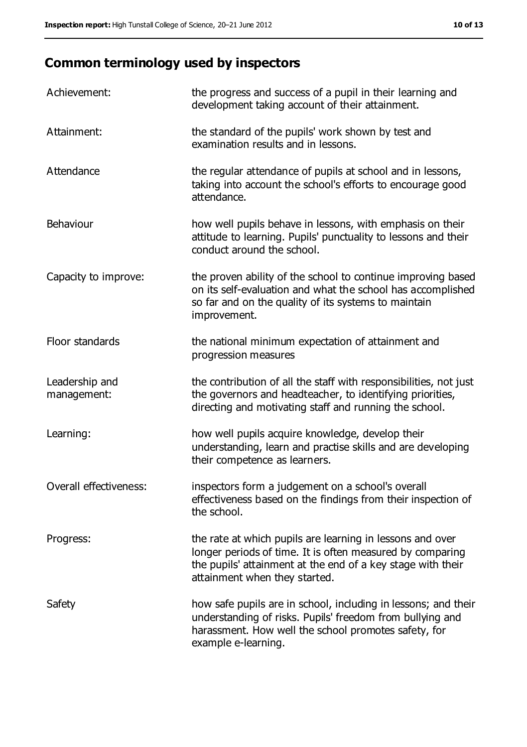### **Common terminology used by inspectors**

| Achievement:                  | the progress and success of a pupil in their learning and<br>development taking account of their attainment.                                                                                                           |
|-------------------------------|------------------------------------------------------------------------------------------------------------------------------------------------------------------------------------------------------------------------|
| Attainment:                   | the standard of the pupils' work shown by test and<br>examination results and in lessons.                                                                                                                              |
| Attendance                    | the regular attendance of pupils at school and in lessons,<br>taking into account the school's efforts to encourage good<br>attendance.                                                                                |
| Behaviour                     | how well pupils behave in lessons, with emphasis on their<br>attitude to learning. Pupils' punctuality to lessons and their<br>conduct around the school.                                                              |
| Capacity to improve:          | the proven ability of the school to continue improving based<br>on its self-evaluation and what the school has accomplished<br>so far and on the quality of its systems to maintain<br>improvement.                    |
| Floor standards               | the national minimum expectation of attainment and<br>progression measures                                                                                                                                             |
| Leadership and<br>management: | the contribution of all the staff with responsibilities, not just<br>the governors and headteacher, to identifying priorities,<br>directing and motivating staff and running the school.                               |
| Learning:                     | how well pupils acquire knowledge, develop their<br>understanding, learn and practise skills and are developing<br>their competence as learners.                                                                       |
| Overall effectiveness:        | inspectors form a judgement on a school's overall<br>effectiveness based on the findings from their inspection of<br>the school.                                                                                       |
| Progress:                     | the rate at which pupils are learning in lessons and over<br>longer periods of time. It is often measured by comparing<br>the pupils' attainment at the end of a key stage with their<br>attainment when they started. |
| Safety                        | how safe pupils are in school, including in lessons; and their<br>understanding of risks. Pupils' freedom from bullying and<br>harassment. How well the school promotes safety, for<br>example e-learning.             |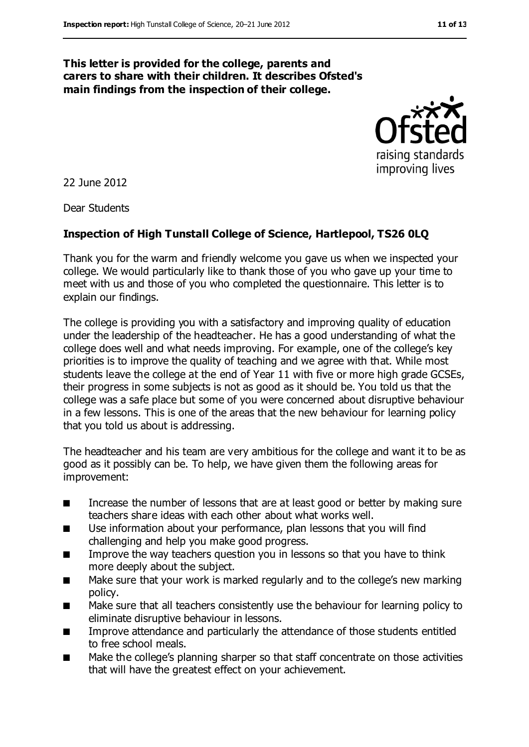#### **This letter is provided for the college, parents and carers to share with their children. It describes Ofsted's main findings from the inspection of their college.**



22 June 2012

Dear Students

#### **Inspection of High Tunstall College of Science, Hartlepool, TS26 0LQ**

Thank you for the warm and friendly welcome you gave us when we inspected your college. We would particularly like to thank those of you who gave up your time to meet with us and those of you who completed the questionnaire. This letter is to explain our findings.

The college is providing you with a satisfactory and improving quality of education under the leadership of the headteacher. He has a good understanding of what the college does well and what needs improving. For example, one of the college's key priorities is to improve the quality of teaching and we agree with that. While most students leave the college at the end of Year 11 with five or more high grade GCSEs, their progress in some subjects is not as good as it should be. You told us that the college was a safe place but some of you were concerned about disruptive behaviour in a few lessons. This is one of the areas that the new behaviour for learning policy that you told us about is addressing.

The headteacher and his team are very ambitious for the college and want it to be as good as it possibly can be. To help, we have given them the following areas for improvement:

- Increase the number of lessons that are at least good or better by making sure teachers share ideas with each other about what works well.
- Use information about your performance, plan lessons that you will find challenging and help you make good progress.
- Improve the way teachers question you in lessons so that you have to think more deeply about the subject.
- Make sure that your work is marked regularly and to the college's new marking policy.
- Make sure that all teachers consistently use the behaviour for learning policy to eliminate disruptive behaviour in lessons.
- Improve attendance and particularly the attendance of those students entitled to free school meals.
- Make the college's planning sharper so that staff concentrate on those activities that will have the greatest effect on your achievement.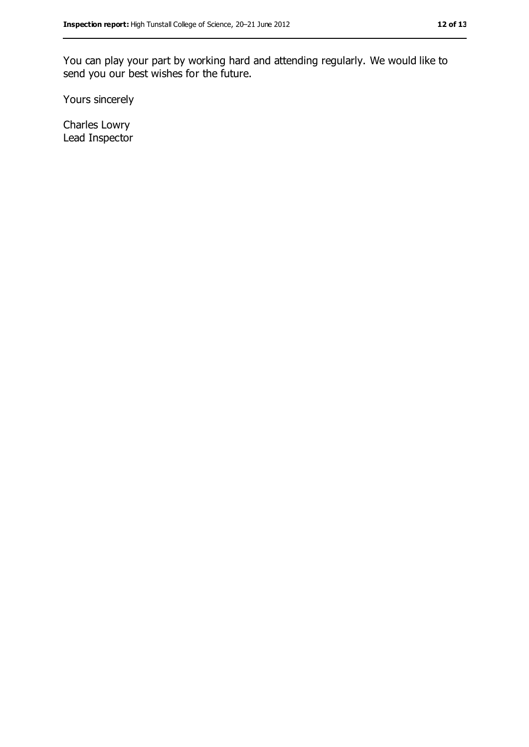You can play your part by working hard and attending regularly. We would like to send you our best wishes for the future.

Yours sincerely

Charles Lowry Lead Inspector